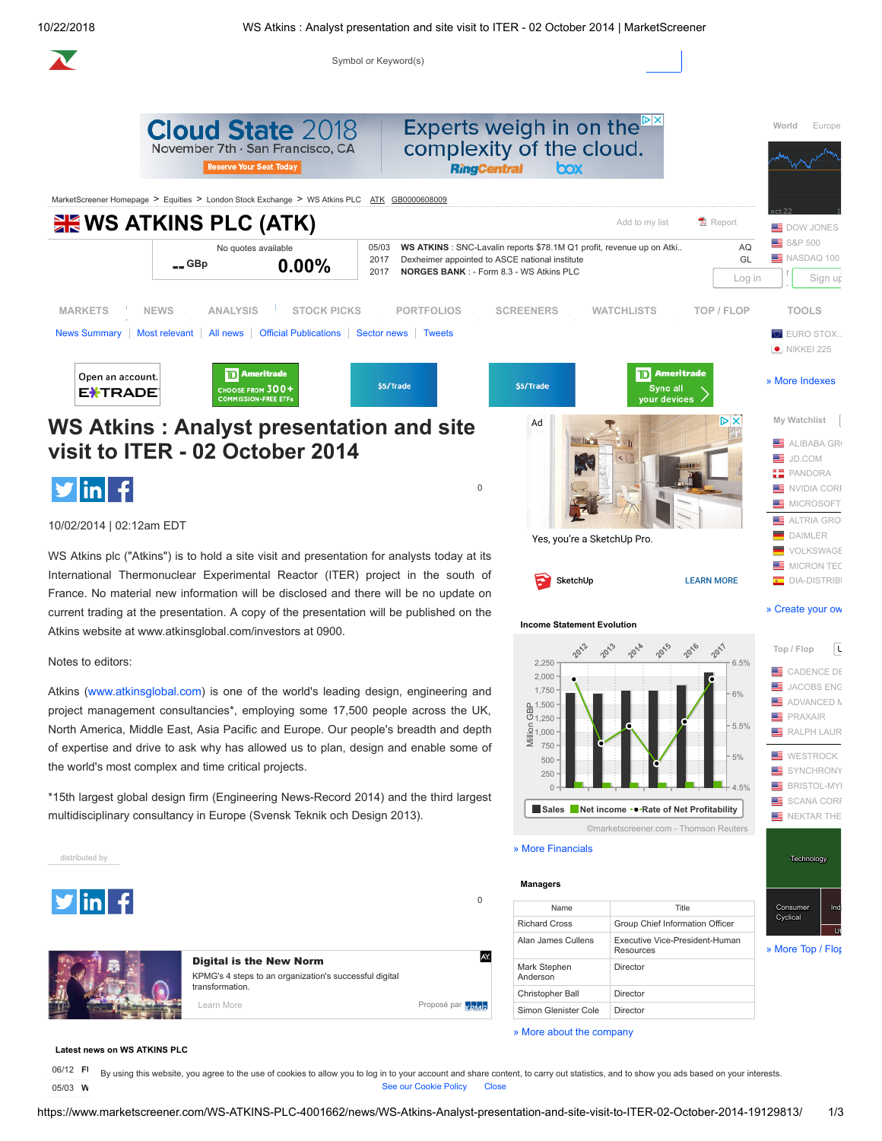Symbol or Keyword(s)